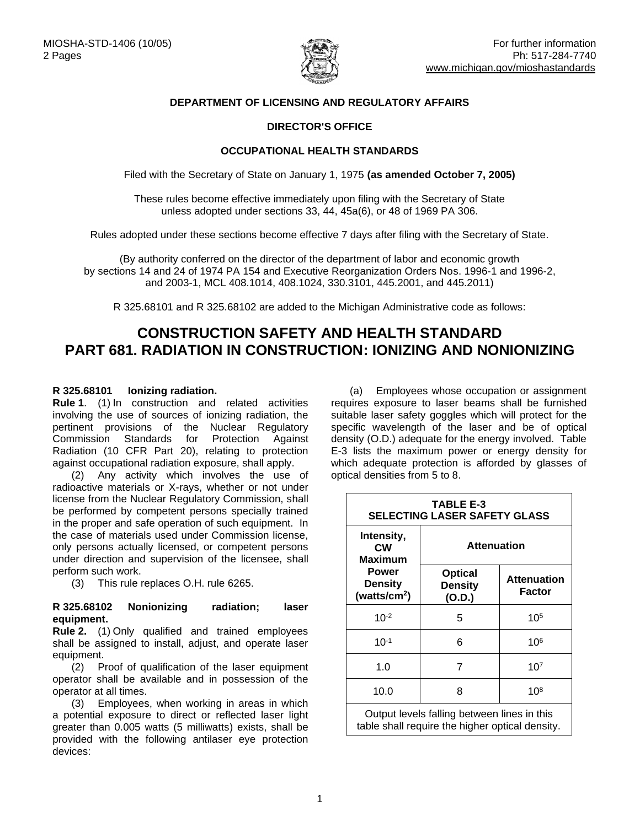

## **DEPARTMENT OF LICENSING AND REGULATORY AFFAIRS**

## **DIRECTOR'S OFFICE**

### **OCCUPATIONAL HEALTH STANDARDS**

Filed with the Secretary of State on January 1, 1975 **(as amended October 7, 2005)**

These rules become effective immediately upon filing with the Secretary of State unless adopted under sections 33, 44, 45a(6), or 48 of 1969 PA 306.

Rules adopted under these sections become effective 7 days after filing with the Secretary of State.

(By authority conferred on the director of the department of labor and economic growth by sections 14 and 24 of 1974 PA 154 and Executive Reorganization Orders Nos. 1996-1 and 1996-2, and 2003-1, MCL 408.1014, 408.1024, 330.3101, 445.2001, and 445.2011)

R 325.68101 and R 325.68102 are added to the Michigan Administrative code as follows:

# **CONSTRUCTION SAFETY AND HEALTH STANDARD PART 681. RADIATION IN CONSTRUCTION: IONIZING AND NONIONIZING**

## **R 325.68101 Ionizing radiation.**

**Rule 1**. (1) In construction and related activities involving the use of sources of ionizing radiation, the pertinent provisions of the Nuclear Regulatory Commission Standards for Protection Against Radiation (10 CFR Part 20), relating to protection against occupational radiation exposure, shall apply.

(2) Any activity which involves the use of radioactive materials or X-rays, whether or not under license from the Nuclear Regulatory Commission, shall be performed by competent persons specially trained in the proper and safe operation of such equipment. In the case of materials used under Commission license, only persons actually licensed, or competent persons under direction and supervision of the licensee, shall perform such work.

(3) This rule replaces O.H. rule 6265.

#### **R 325.68102 Nonionizing radiation; laser equipment.**

**Rule 2.** (1) Only qualified and trained employees shall be assigned to install, adjust, and operate laser equipment.

(2) Proof of qualification of the laser equipment operator shall be available and in possession of the operator at all times.

(3) Employees, when working in areas in which a potential exposure to direct or reflected laser light greater than 0.005 watts (5 milliwatts) exists, shall be provided with the following antilaser eye protection devices:

(a) Employees whose occupation or assignment requires exposure to laser beams shall be furnished suitable laser safety goggles which will protect for the specific wavelength of the laser and be of optical density (O.D.) adequate for the energy involved. Table E-3 lists the maximum power or energy density for which adequate protection is afforded by glasses of optical densities from 5 to 8.

| <b>TABLE E-3</b><br><b>SELECTING LASER SAFETY GLASS</b>                                          |                                            |                              |
|--------------------------------------------------------------------------------------------------|--------------------------------------------|------------------------------|
| Intensity,<br><b>CW</b><br>Maximum<br><b>Power</b><br><b>Density</b><br>(watts/cm <sup>2</sup> ) | <b>Attenuation</b>                         |                              |
|                                                                                                  | <b>Optical</b><br><b>Density</b><br>(O.D.) | <b>Attenuation</b><br>Factor |
| $10^{-2}$                                                                                        | 5                                          | 105                          |
| $10^{-1}$                                                                                        | 6                                          | 106                          |
| 1.0                                                                                              | $\overline{7}$                             | 10 <sup>7</sup>              |
| 10.0                                                                                             | 8                                          | $10^{8}$                     |
| Output levels falling between lines in this<br>table shall require the higher optical density.   |                                            |                              |